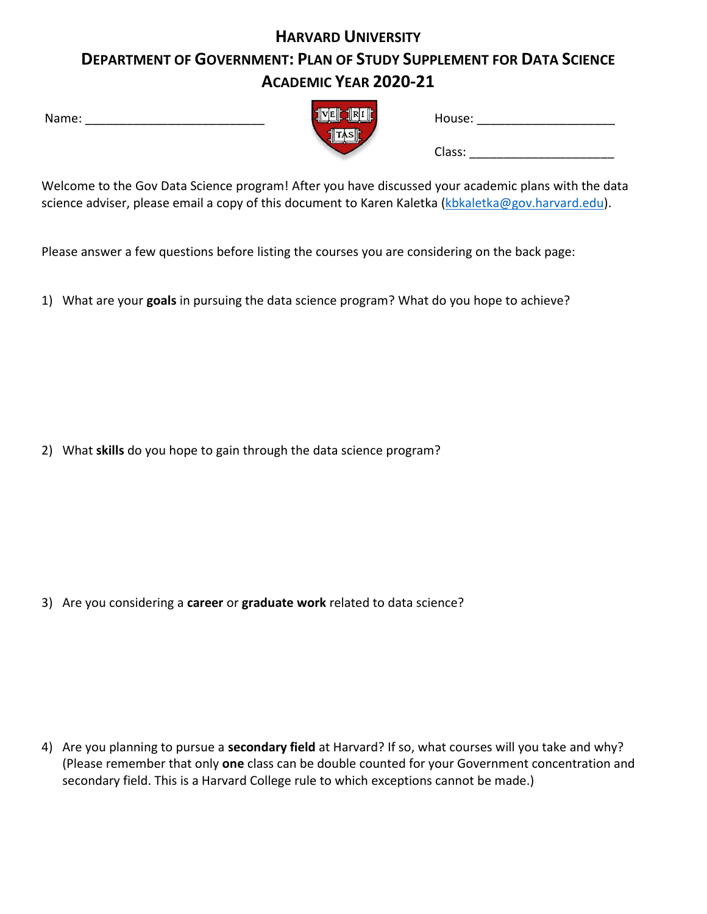## **HARVARD UNIVERSITY DEPARTMENT OF GOVERNMENT: PLAN OF STUDY SUPPLEMENT FOR DATA SCIENCE ACADEMIC YEAR 2020-21**

| Name: |  |
|-------|--|
|       |  |

| $\frac{1}{2}$ $\sqrt{E}$ $\frac{1}{2}$ $\sqrt{R}$ $\frac{1}{2}$ |           |  |
|-----------------------------------------------------------------|-----------|--|
|                                                                 | $\ TAS\ $ |  |
|                                                                 |           |  |

| Name: | TRIE<br>VEL | House: |  |
|-------|-------------|--------|--|
|       | TASIL       |        |  |
|       |             | Class: |  |

Welcome to the Gov Data Science program! After you have discussed your academic plans with the data science adviser, please email a copy of this document to Karen Kaletka (kbkaletka@gov.harvard.edu).

Please answer a few questions before listing the courses you are considering on the back page:

1) What are your **goals** in pursuing the data science program? What do you hope to achieve?

2) What **skills** do you hope to gain through the data science program?

3) Are you considering a **career** or **graduate work** related to data science?

4) Are you planning to pursue a **secondary field** at Harvard? If so, what courses will you take and why? (Please remember that only **one** class can be double counted for your Government concentration and secondary field. This is a Harvard College rule to which exceptions cannot be made.)